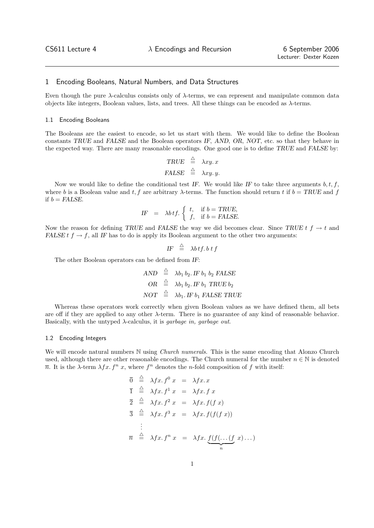## 1 Encoding Booleans, Natural Numbers, and Data Structures

Even though the pure  $\lambda$ -calculus consists only of  $\lambda$ -terms, we can represent and manipulate common data objects like integers, Boolean values, lists, and trees. All these things can be encoded as  $\lambda$ -terms.

## 1.1 Encoding Booleans

The Booleans are the easiest to encode, so let us start with them. We would like to define the Boolean constants TRUE and FALSE and the Boolean operators IF, AND, OR, NOT, etc. so that they behave in the expected way. There are many reasonable encodings. One good one is to define TRUE and FALSE by:

$$
\begin{array}{rcl}\n\text{TRUE} & \triangleq & \lambda xy. \, x \\
\text{FALSE} & \triangleq & \lambda xy. \, y.\n\end{array}
$$

Now we would like to define the conditional test IF. We would like IF to take three arguments  $b, t, f$ , where b is a Boolean value and t, f are arbitrary  $\lambda$ -terms. The function should return t if  $b = TRUE$  and f if  $b = FALSE$ .

$$
IF = \lambda b \, tf. \begin{cases} t, & \text{if } b = TRUE, \\ f, & \text{if } b = FALSE. \end{cases}
$$

Now the reason for defining TRUE and FALSE the way we did becomes clear. Since TRUE  $t f \rightarrow t$  and FALSE  $t f \rightarrow f$ , all IF has to do is apply its Boolean argument to the other two arguments:

$$
IF \stackrel{\triangle}{=} \lambda b \, tf. \, b \, tf
$$

The other Boolean operators can be defined from IF:

$$
AND \stackrel{\triangle}{=} \lambda b_1 b_2. IF b_1 b_2 FALSE
$$
  
\n
$$
OR \stackrel{\triangle}{=} \lambda b_1 b_2. IF b_1 TRUE b_2
$$
  
\n
$$
NOT \stackrel{\triangle}{=} \lambda b_1. IF b_1 FALSE TRUE
$$

Whereas these operators work correctly when given Boolean values as we have defined them, all bets are off if they are applied to any other λ-term. There is no guarantee of any kind of reasonable behavior. Basically, with the untyped  $\lambda$ -calculus, it is *garbage in, garbage out.* 

#### 1.2 Encoding Integers

We will encode natural numbers N using *Church numerals*. This is the same encoding that Alonzo Church used, although there are other reasonable encodings. The Church numeral for the number  $n \in \mathbb{N}$  is denoted  $\overline{n}$ . It is the  $\lambda$ -term  $\lambda fx. f^n x$ , where  $f^n$  denotes the *n*-fold composition of f with itself:

$$
\overline{0} \stackrel{\triangle}{=} \lambda fx. f^0 x = \lambda fx. x
$$
\n
$$
\overline{1} \stackrel{\triangle}{=} \lambda fx. f^1 x = \lambda fx. f x
$$
\n
$$
\overline{2} \stackrel{\triangle}{=} \lambda fx. f^2 x = \lambda fx. f(f x)
$$
\n
$$
\overline{3} \stackrel{\triangle}{=} \lambda fx. f^3 x = \lambda fx. f(f(f x))
$$
\n
$$
\vdots
$$
\n
$$
\overline{n} \stackrel{\triangle}{=} \lambda fx. f^n x = \lambda fx. \underbrace{f(f(\ldots(f x) \ldots))}_{n}
$$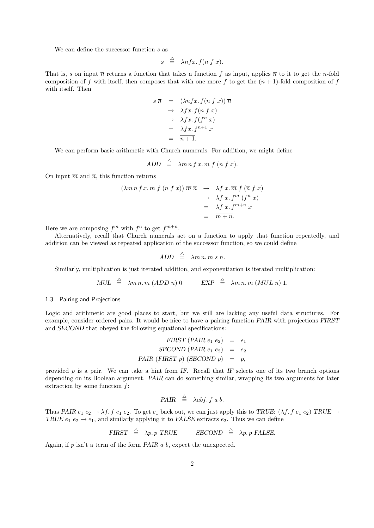We can define the successor function s as

$$
s \stackrel{\triangle}{=} \lambda nfx. f(n f x).
$$

That is, s on input  $\bar{n}$  returns a function that takes a function f as input, applies  $\bar{n}$  to it to get the n-fold composition of f with itself, then composes that with one more f to get the  $(n + 1)$ -fold composition of f with itself. Then

$$
s \overline{n} = (\lambda nfx. f(nfx)) \overline{n}
$$
  
\n
$$
\rightarrow \lambda fx. f(\overline{n}fx)
$$
  
\n
$$
\rightarrow \lambda fx. f(f^n x)
$$
  
\n
$$
= \lambda fx. f^{n+1} x
$$
  
\n
$$
= \overline{n+1}.
$$

We can perform basic arithmetic with Church numerals. For addition, we might define

$$
ADD \stackrel{\triangle}{=} \lambda m n f x. m f (n f x).
$$

On input  $\overline{m}$  and  $\overline{n}$ , this function returns

$$
(\lambda m n f x. m f (n f x)) \overline{m} \overline{n} \rightarrow \lambda f x. \overline{m} f (\overline{n} f x)
$$
  

$$
\rightarrow \lambda f x. f^{m} (f^{n} x)
$$
  

$$
= \lambda f x. f^{m+n} x
$$
  

$$
= \overline{m+n}.
$$

Here we are composing  $f^m$  with  $f^n$  to get  $f^{m+n}$ .

Alternatively, recall that Church numerals act on a function to apply that function repeatedly, and addition can be viewed as repeated application of the successor function, so we could define

$$
ADD \triangleq \lambda m n.m.s n.
$$

Similarly, multiplication is just iterated addition, and exponentiation is iterated multiplication:

 $MUL \triangleq \lambda m n. m (ADD n) \overline{0}$   $EXP \triangleq \lambda m n. m (MUL n) \overline{1}$ .

### 1.3 Pairing and Projections

Logic and arithmetic are good places to start, but we still are lacking any useful data structures. For example, consider ordered pairs. It would be nice to have a pairing function PAIR with projections FIRST and SECOND that obeyed the following equational specifications:

$$
FIRST (PAIR e1 e2) = e1
$$
  
SECOND (PAIR e<sub>1</sub> e<sub>2</sub>) = e<sub>2</sub>  
PAIR (FIRST p) (SECOND p) = p,

provided  $p$  is a pair. We can take a hint from IF. Recall that IF selects one of its two branch options depending on its Boolean argument. PAIR can do something similar, wrapping its two arguments for later extraction by some function  $f$ :

$$
PAIR \triangleq \lambda abf. f a b.
$$

Thus PAIR  $e_1 e_2 \rightarrow \lambda f$ .  $f e_1 e_2$ . To get  $e_1$  back out, we can just apply this to TRUE:  $(\lambda f. f e_1 e_2)$  TRUE  $\rightarrow$ TRUE  $e_1$   $e_2 \rightarrow e_1$ , and similarly applying it to FALSE extracts  $e_2$ . Thus we can define

$$
FIRST \triangleq \lambda p. p \text{ TRUE} \qquad SECOND \triangleq \lambda p. p \text{ FALSE.}
$$

Again, if  $p$  isn't a term of the form PAIR  $a$   $b$ , expect the unexpected.